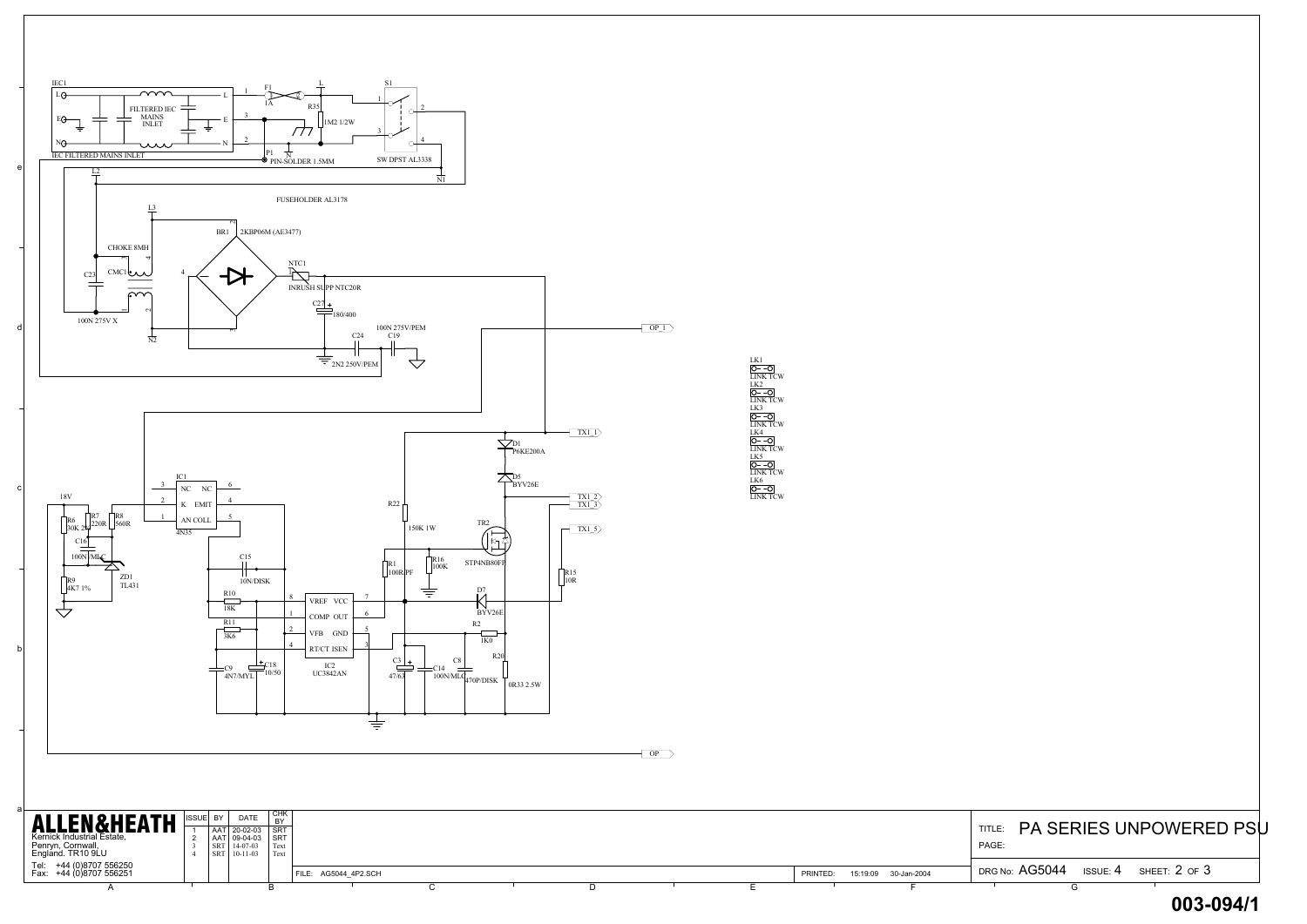| PAGE: | TITLE: PA SERIES UNPOWERED PSU |  |                                       |  |
|-------|--------------------------------|--|---------------------------------------|--|
|       |                                |  | DRG No: AG5044 ISSUE: 4 SHEET: 2 OF 3 |  |
|       |                                |  |                                       |  |



## **003-094/1**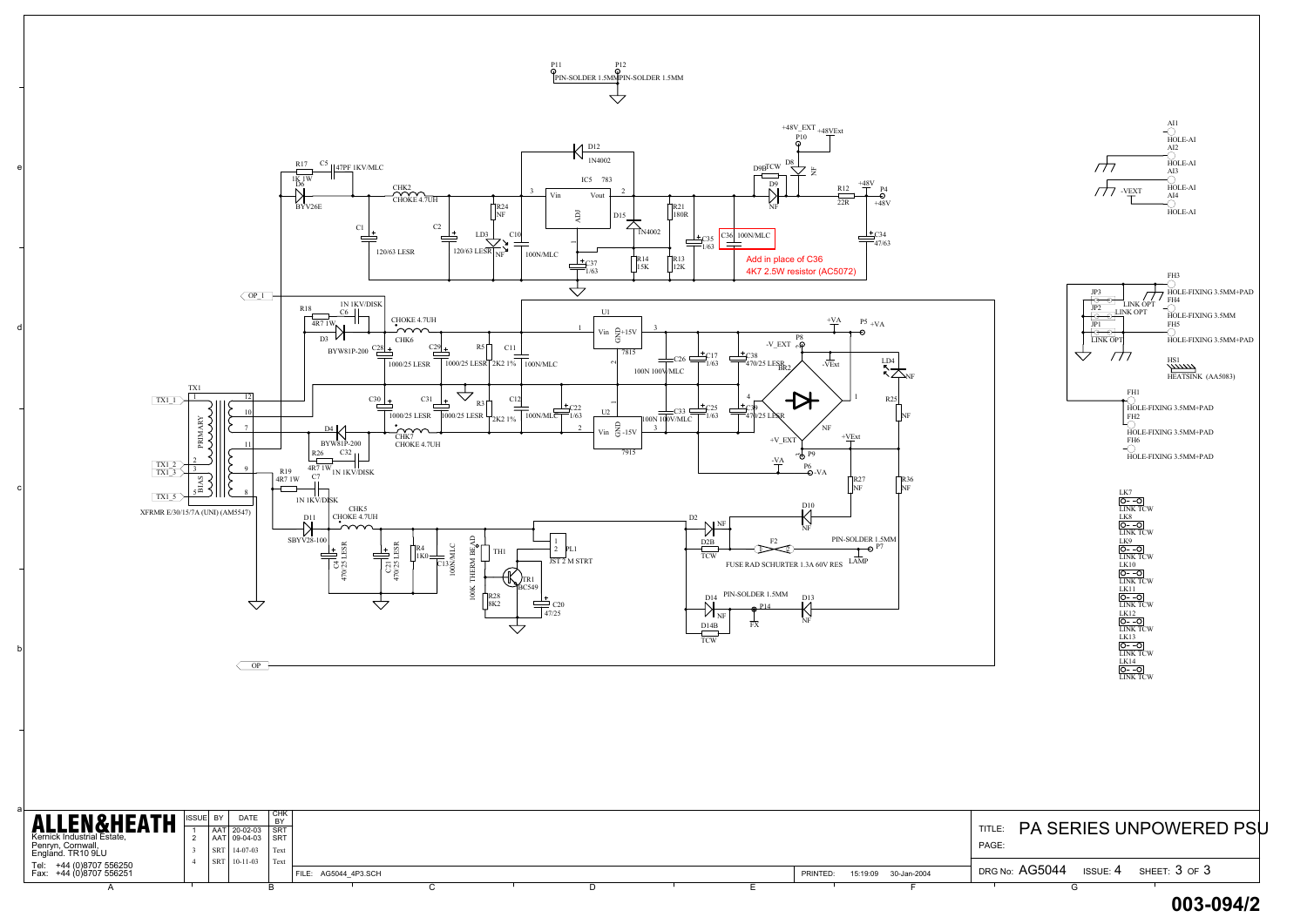



**<sup>003-094/2</sup>**